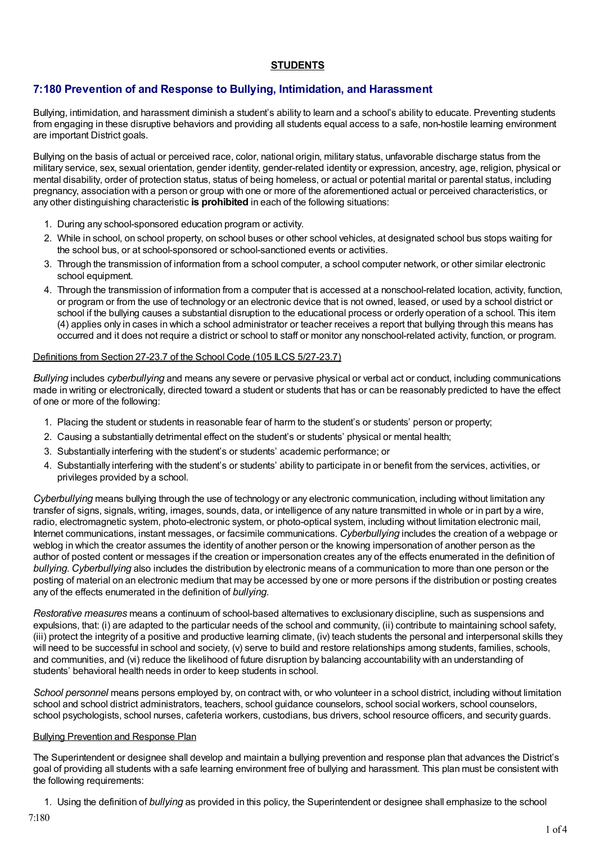## **STUDENTS**

# **7:180 Prevention of and Response to Bullying, Intimidation, and Harassment**

Bullying, intimidation, and harassment diminish a student's ability to learn and a school's ability to educate. Preventing students from engaging in these disruptive behaviors and providing all students equal access to a safe, non-hostile learning environment are important District goals.

Bullying on the basis of actual or perceived race, color, national origin, military status, unfavorable discharge status from the military service, sex, sexual orientation, gender identity, gender-related identity or expression, ancestry, age, religion, physical or mental disability, order of protection status, status of being homeless, or actual or potential marital or parental status, including pregnancy, association with a person or group with one or more of the aforementioned actual or perceived characteristics, or any other distinguishing characteristic **is prohibited** in each of the following situations:

- 1. During any school-sponsored education program or activity.
- 2. While in school, on school property, on school buses or other school vehicles, at designated school bus stops waiting for the school bus, or at school-sponsored or school-sanctioned events or activities.
- 3. Through the transmission of information from a school computer, a school computer network, or other similar electronic school equipment.
- 4. Through the transmission of information from a computer that is accessed at a nonschool-related location, activity, function, or program or from the use of technology or an electronic device that is not owned, leased, or used by a school district or school if the bullying causes a substantial disruption to the educational process or orderly operation of a school. This item (4) applies only in cases in which a school administrator or teacher receives a report that bullying through this means has occurred and it does not require a district or school to staff or monitor any nonschool-related activity, function, or program.

### Definitions from Section 27-23.7 of the School Code (105 ILCS 5/27-23.7)

*Bullying* includes *cyberbullying* and means any severe or pervasive physical or verbal act or conduct, including communications made in writing or electronically, directed toward a student or students that has or can be reasonably predicted to have the effect of one or more of the following:

- 1. Placing the student or students in reasonable fear of harm to the student's or students' person or property;
- 2. Causing a substantially detrimental effect on the student's or students' physical or mental health;
- 3. Substantially interfering with the student's or students' academic performance; or
- 4. Substantially interfering with the student's or students' ability to participate in or benefit from the services, activities, or privileges provided by a school.

*Cyberbullying* means bullying through the use of technology or any electronic communication, including without limitation any transfer of signs, signals, writing, images, sounds, data, or intelligence of any nature transmitted in whole or in part by a wire, radio, electromagnetic system, photo-electronic system, or photo-optical system, including without limitation electronic mail, Internet communications, instant messages, or facsimile communications. *Cyberbullying* includes the creation of a webpage or weblog in which the creator assumes the identity of another person or the knowing impersonation of another person as the author of posted content or messages if the creation or impersonation creates any of the effects enumerated in the definition of *bullying*. *Cyberbullying* also includes the distribution by electronic means of a communication to more than one person or the posting of material on an electronic medium that may be accessed by one or more persons if the distribution or posting creates any of the effects enumerated in the definition of *bullying*.

*Restorative measures* means a continuum of school-based alternatives to exclusionary discipline, such as suspensions and expulsions, that: (i) are adapted to the particular needs of the school and community, (ii) contribute to maintaining school safety, (iii) protect the integrity of a positive and productive learning climate, (iv) teach students the personal and interpersonal skills they will need to be successful in school and society, (v) serve to build and restore relationships among students, families, schools, and communities, and (vi) reduce the likelihood of future disruption by balancing accountability with an understanding of students' behavioral health needs in order to keep students in school.

*School personnel* means persons employed by, on contract with, or who volunteer in a school district, including without limitation school and school district administrators, teachers, school guidance counselors, school social workers, school counselors, school psychologists, school nurses, cafeteria workers, custodians, bus drivers, school resource officers, and security guards.

#### Bullying Prevention and Response Plan

The Superintendent or designee shall develop and maintain a bullying prevention and response plan that advances the District's goal of providing all students with a safe learning environment free of bullying and harassment. This plan must be consistent with the following requirements:

1. Using the definition of *bullying* as provided in this policy, the Superintendent or designee shall emphasize to the school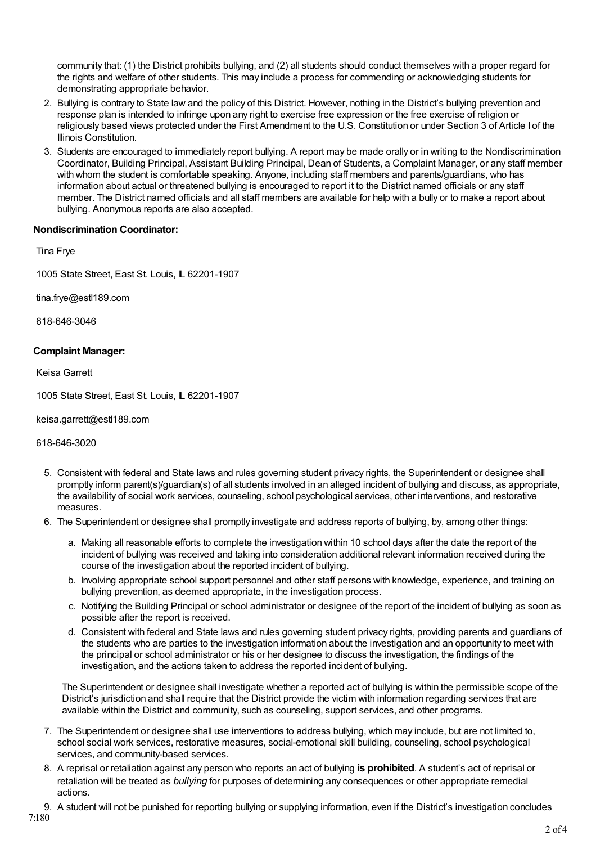community that: (1) the District prohibits bullying, and (2) all students should conduct themselves with a proper regard for the rights and welfare of other students. This may include a process for commending or acknowledging students for demonstrating appropriate behavior.

- 2. Bullying is contrary to State law and the policy of this District. However, nothing in the District's bullying prevention and response plan is intended to infringe upon any right to exercise free expression or the free exercise of religion or religiously based views protected under the First Amendment to the U.S. Constitution or under Section 3 of Article I of the Illinois Constitution.
- 3. Students are encouraged to immediately report bullying. A report may be made orally or in writing to the Nondiscrimination Coordinator, Building Principal, Assistant Building Principal, Dean of Students, a Complaint Manager, or any staff member with whom the student is comfortable speaking. Anyone, including staff members and parents/guardians, who has information about actual or threatened bullying is encouraged to report it to the District named officials or any staff member. The District named officials and all staff members are available for help with a bully or to make a report about bullying. Anonymous reports are also accepted.

### **Nondiscrimination Coordinator:**

Tina Frye

1005 State Street, East St. Louis, IL 62201-1907

tina.frye@estl189.com

618-646-3046

### **Complaint Manager:**

Keisa Garrett

1005 State Street, East St. Louis, IL 62201-1907

keisa.garrett@estl189.com

618-646-3020

- 5. Consistent with federal and State laws and rules governing student privacy rights, the Superintendent or designee shall promptly inform parent(s)/guardian(s) of all students involved in an alleged incident of bullying and discuss, as appropriate, the availability of social work services, counseling, school psychological services, other interventions, and restorative measures.
- 6. The Superintendent or designee shall promptly investigate and address reports of bullying, by, among other things:
	- a. Making all reasonable efforts to complete the investigation within 10 school days after the date the report of the incident of bullying was received and taking into consideration additional relevant information received during the course of the investigation about the reported incident of bullying.
	- b. Involving appropriate school support personnel and other staff persons with knowledge, experience, and training on bullying prevention, as deemed appropriate, in the investigation process.
	- c. Notifying the Building Principal or school administrator or designee of the report of the incident of bullying as soon as possible after the report is received.
	- d. Consistent with federal and State laws and rules governing student privacy rights, providing parents and guardians of the students who are parties to the investigation information about the investigation and an opportunity to meet with the principal or school administrator or his or her designee to discuss the investigation, the findings of the investigation, and the actions taken to address the reported incident of bullying.

The Superintendent or designee shall investigate whether a reported act of bullying is within the permissible scope of the District's jurisdiction and shall require that the District provide the victim with information regarding services that are available within the District and community, such as counseling, support services, and other programs.

- 7. The Superintendent or designee shall use interventions to address bullying, which may include, but are not limited to, school social work services, restorative measures, social-emotional skill building, counseling, school psychological services, and community-based services.
- 8. A reprisal or retaliation against any person who reports an act of bullying **is prohibited**. A student's act of reprisal or retaliation will be treated as *bullying* for purposes of determining any consequences or other appropriate remedial actions.
- 9. A student will not be punished for reporting bullying or supplying information, even if the District's investigation concludes 7:180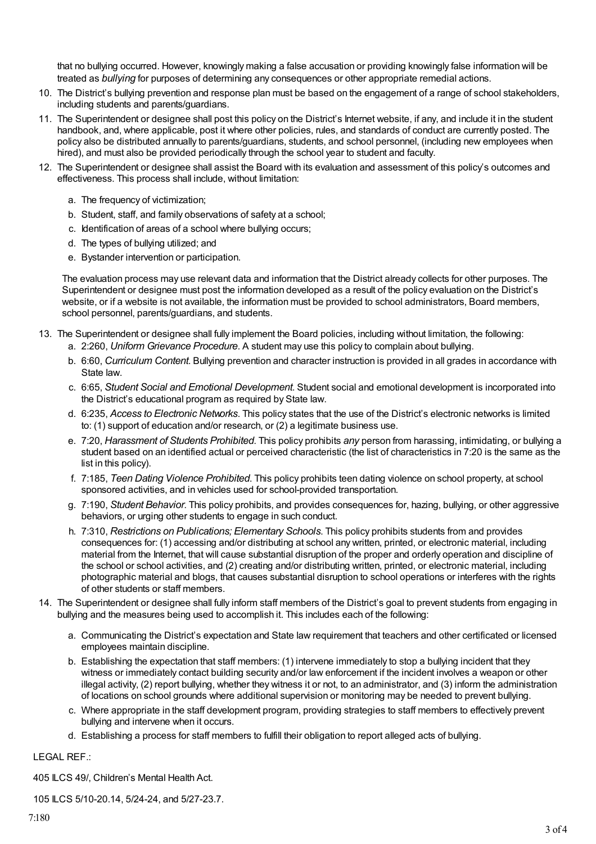that no bullying occurred. However, knowingly making a false accusation or providing knowingly false information will be treated as *bullying* for purposes of determining any consequences or other appropriate remedial actions.

- 10. The District's bullying prevention and response plan must be based on the engagement of a range of school stakeholders, including students and parents/guardians.
- 11. The Superintendent or designee shall post this policy on the District's Internet website, if any, and include it in the student handbook, and, where applicable, post it where other policies, rules, and standards of conduct are currently posted. The policy also be distributed annually to parents/guardians, students, and school personnel, (including new employees when hired), and must also be provided periodically through the school year to student and faculty.
- 12. The Superintendent or designee shall assist the Board with its evaluation and assessment of this policy's outcomes and effectiveness. This process shall include, without limitation:
	- a. The frequency of victimization;
	- b. Student, staff, and family observations of safety at a school;
	- c. Identification of areas of a school where bullying occurs;
	- d. The types of bullying utilized; and
	- e. Bystander intervention or participation.

The evaluation process may use relevant data and information that the District already collects for other purposes. The Superintendent or designee must post the information developed as a result of the policy evaluation on the District's website, or if a website is not available, the information must be provided to school administrators, Board members, school personnel, parents/guardians, and students.

- 13. The Superintendent or designee shall fully implement the Board policies, including without limitation, the following: a. 2:260, *Uniform Grievance Procedure*. A student may use this policy to complain about bullying.
	- b. 6:60, *Curriculum Content*. Bullying prevention and character instruction is provided in all grades in accordance with State law.
	- c. 6:65, *Student Social and Emotional Development*. Student social and emotional development is incorporated into the District's educational program as required by State law.
	- d. 6:235, *Access to Electronic Networks*. This policy states that the use of the District's electronic networks is limited to: (1) support of education and/or research, or (2) a legitimate business use.
	- e. 7:20, *Harassment of Students Prohibited*. This policy prohibits *any* person from harassing, intimidating, or bullying a student based on an identified actual or perceived characteristic (the list of characteristics in 7:20 is the same as the list in this policy).
	- f. 7:185, *Teen Dating Violence Prohibited*. This policy prohibits teen dating violence on school property, at school sponsored activities, and in vehicles used for school-provided transportation.
	- g. 7:190, *Student Behavior*. This policy prohibits, and provides consequences for, hazing, bullying, or other aggressive behaviors, or urging other students to engage in such conduct.
	- h. 7:310, *Restrictions on Publications; Elementary Schools*. This policy prohibits students from and provides consequences for: (1) accessing and/or distributing at school any written, printed, or electronic material, including material from the Internet, that will cause substantial disruption of the proper and orderly operation and discipline of the school or school activities, and (2) creating and/or distributing written, printed, or electronic material, including photographic material and blogs, that causes substantial disruption to school operations or interferes with the rights of other students or staff members.
- 14. The Superintendent or designee shall fully inform staff members of the District's goal to prevent students from engaging in bullying and the measures being used to accomplish it. This includes each of the following:
	- a. Communicating the District's expectation and State law requirement that teachers and other certificated or licensed employees maintain discipline.
	- b. Establishing the expectation that staff members: (1) intervene immediately to stop a bullying incident that they witness or immediately contact building security and/or law enforcement if the incident involves a weapon or other illegal activity, (2) report bullying, whether they witness it or not, to an administrator, and (3) inform the administration of locations on school grounds where additional supervision or monitoring may be needed to prevent bullying.
	- c. Where appropriate in the staff development program, providing strategies to staff members to effectively prevent bullying and intervene when it occurs.
	- d. Establishing a process for staff members to fulfill their obligation to report alleged acts of bullying.

### LEGAL REF.:

405 ILCS 49/, Children's Mental Health Act.

105 ILCS 5/10-20.14, 5/24-24, and 5/27-23.7.